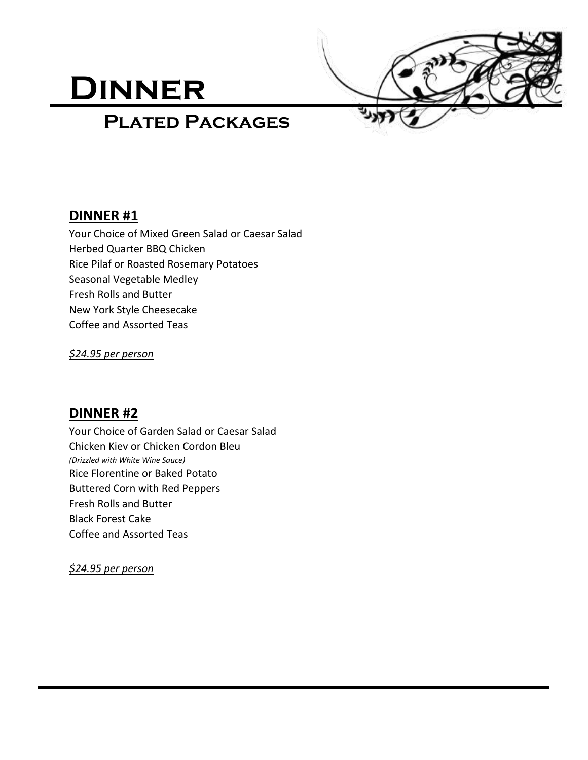# **Dinner**



# **Plated Packages**

# **DINNER #1**

Your Choice of Mixed Green Salad or Caesar Salad Herbed Quarter BBQ Chicken Rice Pilaf or Roasted Rosemary Potatoes Seasonal Vegetable Medley Fresh Rolls and Butter New York Style Cheesecake Coffee and Assorted Teas

*\$24.95 per person* 

# **DINNER #2**

Your Choice of Garden Salad or Caesar Salad Chicken Kiev or Chicken Cordon Bleu *(Drizzled with White Wine Sauce)* Rice Florentine or Baked Potato Buttered Corn with Red Peppers Fresh Rolls and Butter Black Forest Cake Coffee and Assorted Teas

*\$24.95 per person*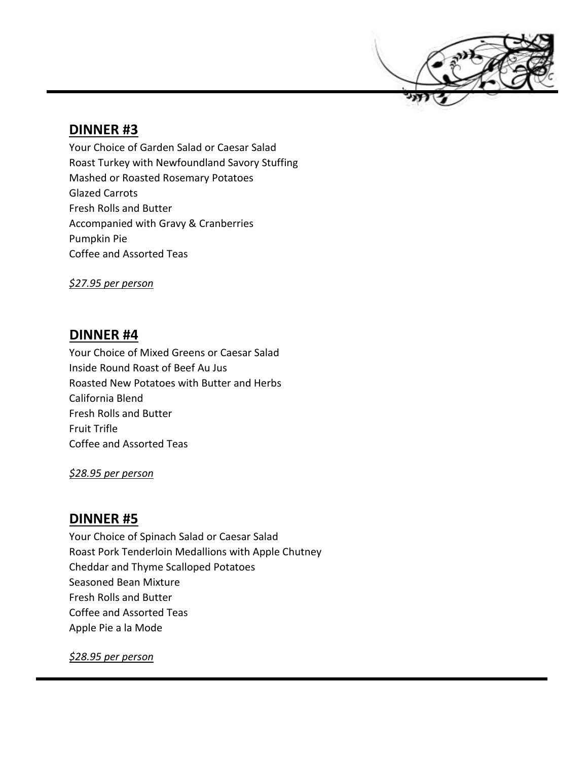

# **DINNER #3**

Your Choice of Garden Salad or Caesar Salad Roast Turkey with Newfoundland Savory Stuffing Mashed or Roasted Rosemary Potatoes Glazed Carrots Fresh Rolls and Butter Accompanied with Gravy & Cranberries Pumpkin Pie Coffee and Assorted Teas

*\$27.95 per person* 

#### **DINNER #4**

Your Choice of Mixed Greens or Caesar Salad Inside Round Roast of Beef Au Jus Roasted New Potatoes with Butter and Herbs California Blend Fresh Rolls and Butter Fruit Trifle Coffee and Assorted Teas

*\$28.95 per person* 

### **DINNER #5**

Your Choice of Spinach Salad or Caesar Salad Roast Pork Tenderloin Medallions with Apple Chutney Cheddar and Thyme Scalloped Potatoes Seasoned Bean Mixture Fresh Rolls and Butter Coffee and Assorted Teas Apple Pie a la Mode

*\$28.95 per person*